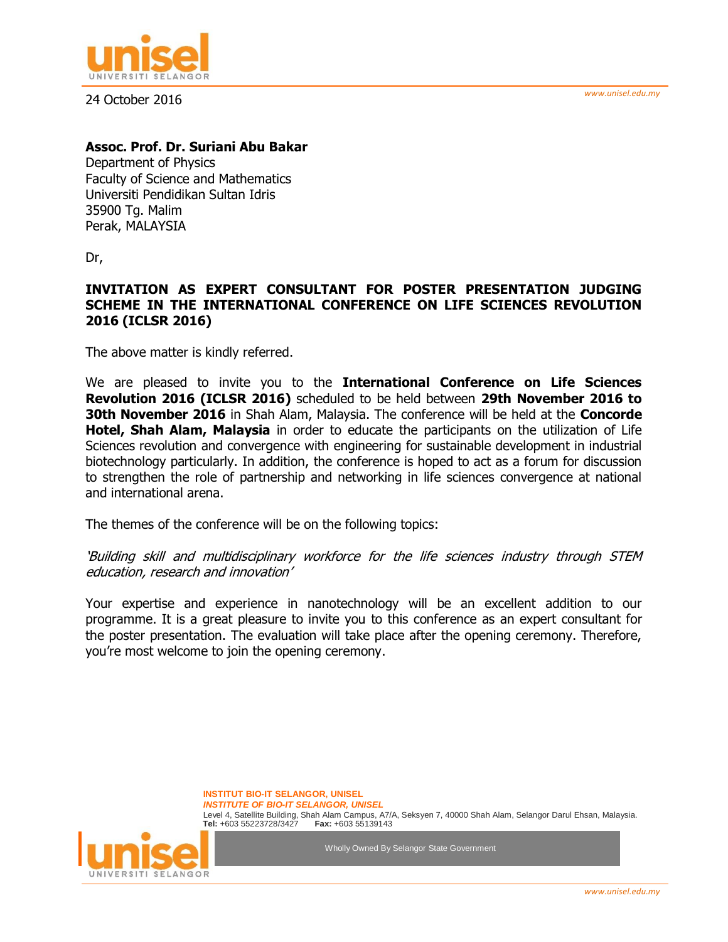



24 October 2016

## **Assoc. Prof. Dr. Suriani Abu Bakar**

Department of Physics Faculty of Science and Mathematics Universiti Pendidikan Sultan Idris 35900 Tg. Malim Perak, MALAYSIA

Dr,

## **INVITATION AS EXPERT CONSULTANT FOR POSTER PRESENTATION JUDGING SCHEME IN THE INTERNATIONAL CONFERENCE ON LIFE SCIENCES REVOLUTION 2016 (ICLSR 2016)**

The above matter is kindly referred.

We are pleased to invite you to the **International Conference on Life Sciences Revolution 2016 (ICLSR 2016)** scheduled to be held between **29th November 2016 to 30th November 2016** in Shah Alam, Malaysia. The conference will be held at the **Concorde Hotel, Shah Alam, Malaysia** in order to educate the participants on the utilization of Life Sciences revolution and convergence with engineering for sustainable development in industrial biotechnology particularly. In addition, the conference is hoped to act as a forum for discussion to strengthen the role of partnership and networking in life sciences convergence at national and international arena.

The themes of the conference will be on the following topics:

'Building skill and multidisciplinary workforce for the life sciences industry through STEM education, research and innovation'

Your expertise and experience in nanotechnology will be an excellent addition to our programme. It is a great pleasure to invite you to this conference as an expert consultant for the poster presentation. The evaluation will take place after the opening ceremony. Therefore, you're most welcome to join the opening ceremony.

> **INSTITUT BIO-IT SELANGOR, UNISEL** *INSTITUTE OF BIO-IT SELANGOR, UNISEL*  Level 4, Satellite Building, Shah Alam Campus, A7/A, Seksyen 7, 40000 Shah Alam, Selangor Darul Ehsan, Malaysia. **Tel:** +603 55223728/3427 **Fax:** +603 55139143



Wholly Owned By Selangor State Government